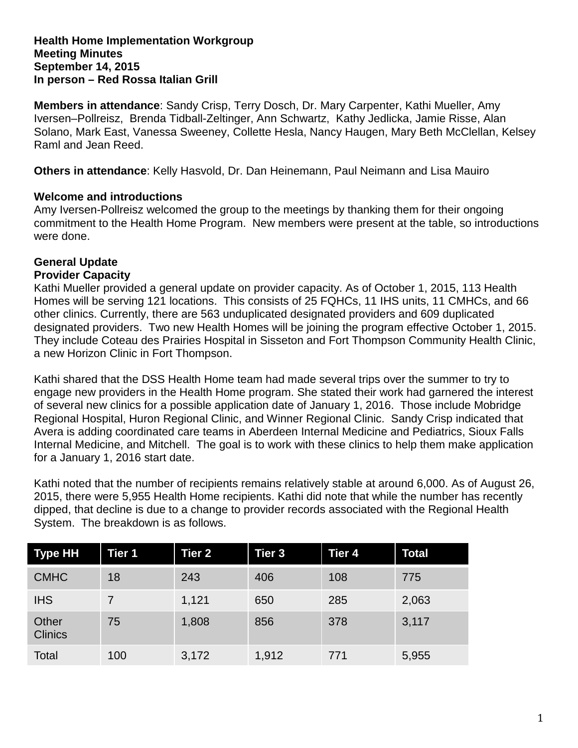#### **Health Home Implementation Workgroup Meeting Minutes September 14, 2015 In person – Red Rossa Italian Grill**

**Members in attendance**: Sandy Crisp, Terry Dosch, Dr. Mary Carpenter, Kathi Mueller, Amy Iversen–Pollreisz, Brenda Tidball-Zeltinger, Ann Schwartz, Kathy Jedlicka, Jamie Risse, Alan Solano, Mark East, Vanessa Sweeney, Collette Hesla, Nancy Haugen, Mary Beth McClellan, Kelsey Raml and Jean Reed.

**Others in attendance**: Kelly Hasvold, Dr. Dan Heinemann, Paul Neimann and Lisa Mauiro

## **Welcome and introductions**

Amy Iversen-Pollreisz welcomed the group to the meetings by thanking them for their ongoing commitment to the Health Home Program. New members were present at the table, so introductions were done.

# **General Update**

## **Provider Capacity**

Kathi Mueller provided a general update on provider capacity. As of October 1, 2015, 113 Health Homes will be serving 121 locations. This consists of 25 FQHCs, 11 IHS units, 11 CMHCs, and 66 other clinics. Currently, there are 563 unduplicated designated providers and 609 duplicated designated providers. Two new Health Homes will be joining the program effective October 1, 2015. They include Coteau des Prairies Hospital in Sisseton and Fort Thompson Community Health Clinic, a new Horizon Clinic in Fort Thompson.

Kathi shared that the DSS Health Home team had made several trips over the summer to try to engage new providers in the Health Home program. She stated their work had garnered the interest of several new clinics for a possible application date of January 1, 2016. Those include Mobridge Regional Hospital, Huron Regional Clinic, and Winner Regional Clinic. Sandy Crisp indicated that Avera is adding coordinated care teams in Aberdeen Internal Medicine and Pediatrics, Sioux Falls Internal Medicine, and Mitchell. The goal is to work with these clinics to help them make application for a January 1, 2016 start date.

Kathi noted that the number of recipients remains relatively stable at around 6,000. As of August 26, 2015, there were 5,955 Health Home recipients. Kathi did note that while the number has recently dipped, that decline is due to a change to provider records associated with the Regional Health System. The breakdown is as follows.

| <b>Type HH</b>          | <b>Tier 1</b> | <b>Tier 2</b> | Tier <sub>3</sub> | <b>Tier 4</b> | <b>Total</b> |
|-------------------------|---------------|---------------|-------------------|---------------|--------------|
| <b>CMHC</b>             | 18            | 243           | 406               | 108           | 775          |
| <b>IHS</b>              |               | 1,121         | 650               | 285           | 2,063        |
| Other<br><b>Clinics</b> | 75            | 1,808         | 856               | 378           | 3,117        |
| Total                   | 100           | 3,172         | 1,912             | 771           | 5,955        |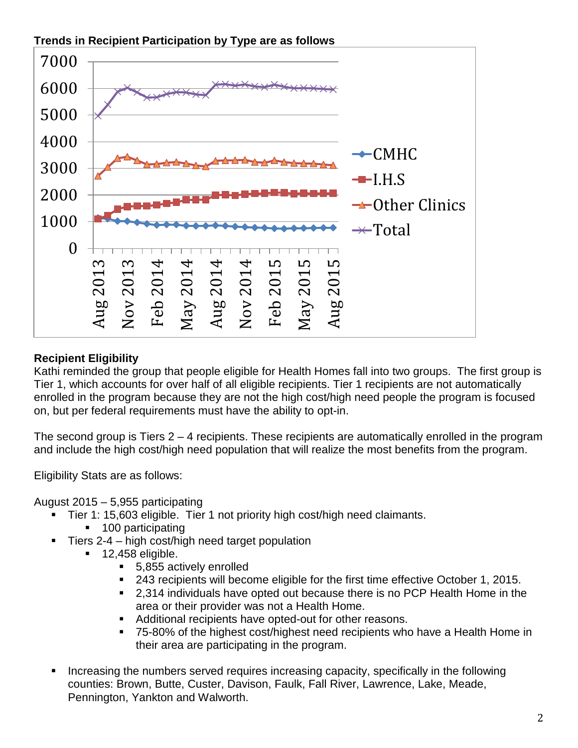

**Trends in Recipient Participation by Type are as follows**

# **Recipient Eligibility**

Kathi reminded the group that people eligible for Health Homes fall into two groups. The first group is Tier 1, which accounts for over half of all eligible recipients. Tier 1 recipients are not automatically enrolled in the program because they are not the high cost/high need people the program is focused on, but per federal requirements must have the ability to opt-in.

The second group is Tiers 2 – 4 recipients. These recipients are automatically enrolled in the program and include the high cost/high need population that will realize the most benefits from the program.

Eligibility Stats are as follows:

August 2015 – 5,955 participating

- Tier 1: 15,603 eligible. Tier 1 not priority high cost/high need claimants.
	- 100 participating
- Tiers 2-4 high cost/high need target population
	- $\blacksquare$  12,458 eligible.
		- 5.855 actively enrolled
		- 243 recipients will become eligible for the first time effective October 1, 2015.
		- 2,314 individuals have opted out because there is no PCP Health Home in the area or their provider was not a Health Home.
		- Additional recipients have opted-out for other reasons.
		- 75-80% of the highest cost/highest need recipients who have a Health Home in their area are participating in the program.
- Increasing the numbers served requires increasing capacity, specifically in the following counties: Brown, Butte, Custer, Davison, Faulk, Fall River, Lawrence, Lake, Meade, Pennington, Yankton and Walworth.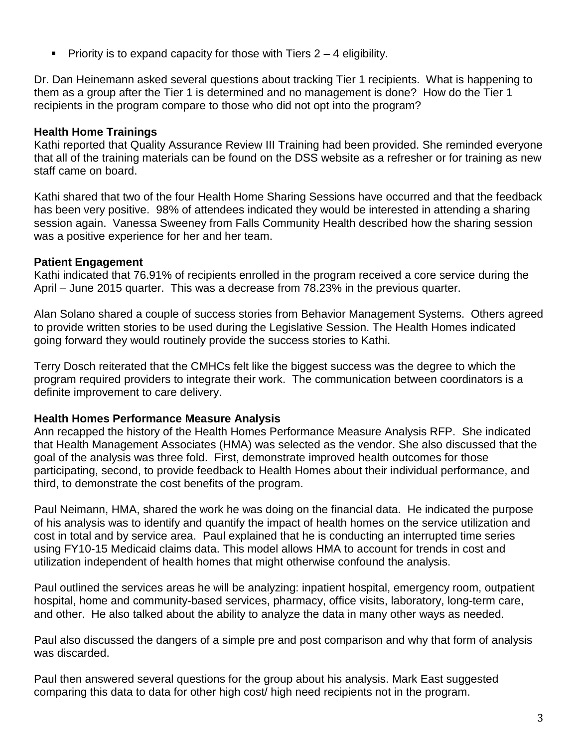Priority is to expand capacity for those with Tiers  $2 - 4$  eligibility.

Dr. Dan Heinemann asked several questions about tracking Tier 1 recipients. What is happening to them as a group after the Tier 1 is determined and no management is done? How do the Tier 1 recipients in the program compare to those who did not opt into the program?

#### **Health Home Trainings**

Kathi reported that Quality Assurance Review III Training had been provided. She reminded everyone that all of the training materials can be found on the DSS website as a refresher or for training as new staff came on board.

Kathi shared that two of the four Health Home Sharing Sessions have occurred and that the feedback has been very positive. 98% of attendees indicated they would be interested in attending a sharing session again. Vanessa Sweeney from Falls Community Health described how the sharing session was a positive experience for her and her team.

## **Patient Engagement**

Kathi indicated that 76.91% of recipients enrolled in the program received a core service during the April – June 2015 quarter. This was a decrease from 78.23% in the previous quarter.

Alan Solano shared a couple of success stories from Behavior Management Systems. Others agreed to provide written stories to be used during the Legislative Session. The Health Homes indicated going forward they would routinely provide the success stories to Kathi.

Terry Dosch reiterated that the CMHCs felt like the biggest success was the degree to which the program required providers to integrate their work. The communication between coordinators is a definite improvement to care delivery.

#### **Health Homes Performance Measure Analysis**

Ann recapped the history of the Health Homes Performance Measure Analysis RFP. She indicated that Health Management Associates (HMA) was selected as the vendor. She also discussed that the goal of the analysis was three fold. First, demonstrate improved health outcomes for those participating, second, to provide feedback to Health Homes about their individual performance, and third, to demonstrate the cost benefits of the program.

Paul Neimann, HMA, shared the work he was doing on the financial data. He indicated the purpose of his analysis was to identify and quantify the impact of health homes on the service utilization and cost in total and by service area. Paul explained that he is conducting an interrupted time series using FY10-15 Medicaid claims data. This model allows HMA to account for trends in cost and utilization independent of health homes that might otherwise confound the analysis.

Paul outlined the services areas he will be analyzing: inpatient hospital, emergency room, outpatient hospital, home and community-based services, pharmacy, office visits, laboratory, long-term care, and other. He also talked about the ability to analyze the data in many other ways as needed.

Paul also discussed the dangers of a simple pre and post comparison and why that form of analysis was discarded.

Paul then answered several questions for the group about his analysis. Mark East suggested comparing this data to data for other high cost/ high need recipients not in the program.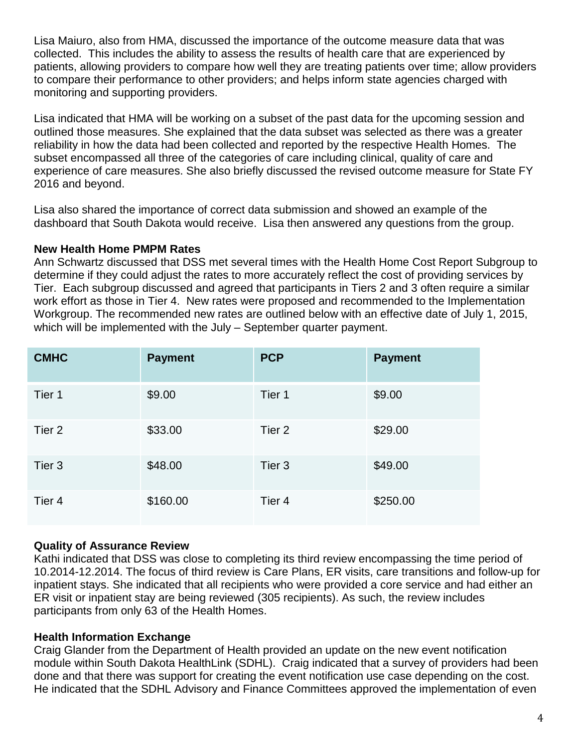Lisa Maiuro, also from HMA, discussed the importance of the outcome measure data that was collected. This includes the ability to assess the results of health care that are experienced by patients, allowing providers to compare how well they are treating patients over time; allow providers to compare their performance to other providers; and helps inform state agencies charged with monitoring and supporting providers.

Lisa indicated that HMA will be working on a subset of the past data for the upcoming session and outlined those measures. She explained that the data subset was selected as there was a greater reliability in how the data had been collected and reported by the respective Health Homes. The subset encompassed all three of the categories of care including clinical, quality of care and experience of care measures. She also briefly discussed the revised outcome measure for State FY 2016 and beyond.

Lisa also shared the importance of correct data submission and showed an example of the dashboard that South Dakota would receive. Lisa then answered any questions from the group.

## **New Health Home PMPM Rates**

Ann Schwartz discussed that DSS met several times with the Health Home Cost Report Subgroup to determine if they could adjust the rates to more accurately reflect the cost of providing services by Tier. Each subgroup discussed and agreed that participants in Tiers 2 and 3 often require a similar work effort as those in Tier 4. New rates were proposed and recommended to the Implementation Workgroup. The recommended new rates are outlined below with an effective date of July 1, 2015, which will be implemented with the July – September quarter payment.

| <b>CMHC</b> | <b>Payment</b> | <b>PCP</b>        | <b>Payment</b> |
|-------------|----------------|-------------------|----------------|
| Tier 1      | \$9.00         | Tier 1            | \$9.00         |
| Tier 2      | \$33.00        | Tier 2            | \$29.00        |
| Tier 3      | \$48.00        | Tier 3            | \$49.00        |
| Tier 4      | \$160.00       | Tier <sub>4</sub> | \$250.00       |

#### **Quality of Assurance Review**

Kathi indicated that DSS was close to completing its third review encompassing the time period of 10.2014-12.2014. The focus of third review is Care Plans, ER visits, care transitions and follow-up for inpatient stays. She indicated that all recipients who were provided a core service and had either an ER visit or inpatient stay are being reviewed (305 recipients). As such, the review includes participants from only 63 of the Health Homes.

# **Health Information Exchange**

Craig Glander from the Department of Health provided an update on the new event notification module within South Dakota HealthLink (SDHL). Craig indicated that a survey of providers had been done and that there was support for creating the event notification use case depending on the cost. He indicated that the SDHL Advisory and Finance Committees approved the implementation of even